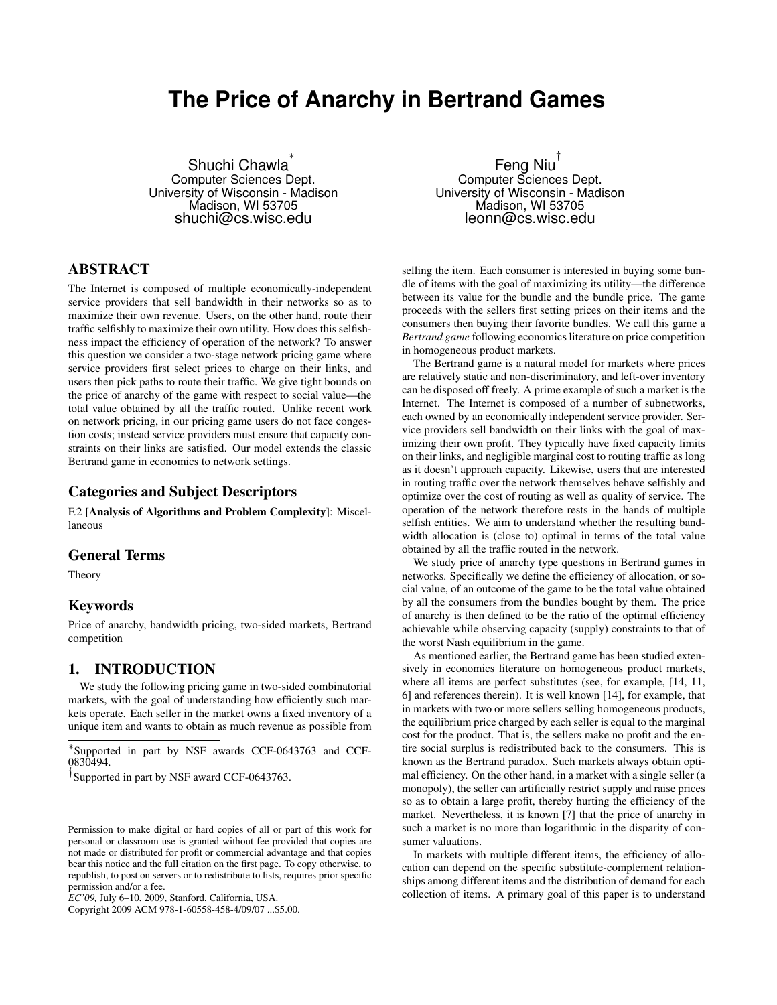# **The Price of Anarchy in Bertrand Games**

Shuchi Chawla<sup>\*</sup> Computer Sciences Dept. University of Wisconsin - Madison Madison, WI 53705 shuchi@cs.wisc.edu

ABSTRACT

The Internet is composed of multiple economically-independent service providers that sell bandwidth in their networks so as to maximize their own revenue. Users, on the other hand, route their traffic selfishly to maximize their own utility. How does this selfishness impact the efficiency of operation of the network? To answer this question we consider a two-stage network pricing game where service providers first select prices to charge on their links, and users then pick paths to route their traffic. We give tight bounds on the price of anarchy of the game with respect to social value—the total value obtained by all the traffic routed. Unlike recent work on network pricing, in our pricing game users do not face congestion costs; instead service providers must ensure that capacity constraints on their links are satisfied. Our model extends the classic Bertrand game in economics to network settings.

# Categories and Subject Descriptors

F.2 [Analysis of Algorithms and Problem Complexity]: Miscellaneous

### General Terms

Theory

# Keywords

Price of anarchy, bandwidth pricing, two-sided markets, Bertrand competition

# 1. INTRODUCTION

We study the following pricing game in two-sided combinatorial markets, with the goal of understanding how efficiently such markets operate. Each seller in the market owns a fixed inventory of a unique item and wants to obtain as much revenue as possible from

Copyright 2009 ACM 978-1-60558-458-4/09/07 ...\$5.00.

Feng Niu $^\dagger$ Computer Sciences Dept. University of Wisconsin - Madison Madison, WI 53705 leonn@cs.wisc.edu

selling the item. Each consumer is interested in buying some bundle of items with the goal of maximizing its utility—the difference between its value for the bundle and the bundle price. The game proceeds with the sellers first setting prices on their items and the consumers then buying their favorite bundles. We call this game a *Bertrand game* following economics literature on price competition in homogeneous product markets.

The Bertrand game is a natural model for markets where prices are relatively static and non-discriminatory, and left-over inventory can be disposed off freely. A prime example of such a market is the Internet. The Internet is composed of a number of subnetworks, each owned by an economically independent service provider. Service providers sell bandwidth on their links with the goal of maximizing their own profit. They typically have fixed capacity limits on their links, and negligible marginal cost to routing traffic as long as it doesn't approach capacity. Likewise, users that are interested in routing traffic over the network themselves behave selfishly and optimize over the cost of routing as well as quality of service. The operation of the network therefore rests in the hands of multiple selfish entities. We aim to understand whether the resulting bandwidth allocation is (close to) optimal in terms of the total value obtained by all the traffic routed in the network.

We study price of anarchy type questions in Bertrand games in networks. Specifically we define the efficiency of allocation, or social value, of an outcome of the game to be the total value obtained by all the consumers from the bundles bought by them. The price of anarchy is then defined to be the ratio of the optimal efficiency achievable while observing capacity (supply) constraints to that of the worst Nash equilibrium in the game.

As mentioned earlier, the Bertrand game has been studied extensively in economics literature on homogeneous product markets, where all items are perfect substitutes (see, for example, [14, 11, 6] and references therein). It is well known [14], for example, that in markets with two or more sellers selling homogeneous products, the equilibrium price charged by each seller is equal to the marginal cost for the product. That is, the sellers make no profit and the entire social surplus is redistributed back to the consumers. This is known as the Bertrand paradox. Such markets always obtain optimal efficiency. On the other hand, in a market with a single seller (a monopoly), the seller can artificially restrict supply and raise prices so as to obtain a large profit, thereby hurting the efficiency of the market. Nevertheless, it is known [7] that the price of anarchy in such a market is no more than logarithmic in the disparity of consumer valuations.

In markets with multiple different items, the efficiency of allocation can depend on the specific substitute-complement relationships among different items and the distribution of demand for each collection of items. A primary goal of this paper is to understand

<sup>∗</sup> Supported in part by NSF awards CCF-0643763 and CCF-0830494.

<sup>†</sup> Supported in part by NSF award CCF-0643763.

Permission to make digital or hard copies of all or part of this work for personal or classroom use is granted without fee provided that copies are not made or distributed for profit or commercial advantage and that copies bear this notice and the full citation on the first page. To copy otherwise, to republish, to post on servers or to redistribute to lists, requires prior specific permission and/or a fee.

*EC'09,* July 6–10, 2009, Stanford, California, USA.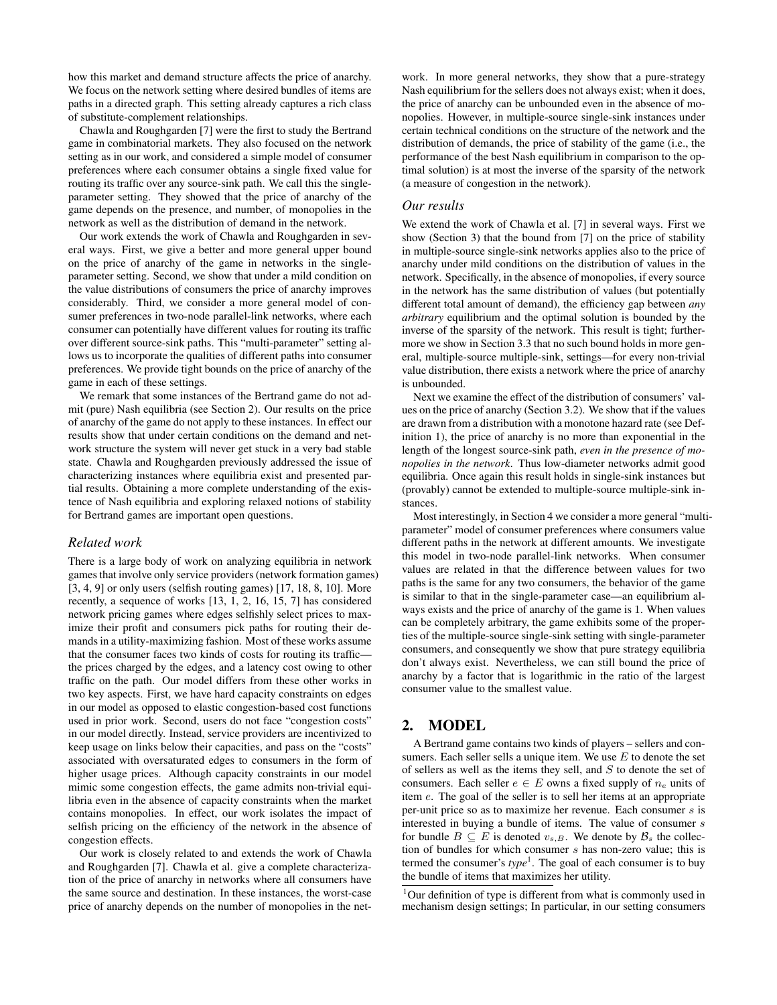how this market and demand structure affects the price of anarchy. We focus on the network setting where desired bundles of items are paths in a directed graph. This setting already captures a rich class of substitute-complement relationships.

Chawla and Roughgarden [7] were the first to study the Bertrand game in combinatorial markets. They also focused on the network setting as in our work, and considered a simple model of consumer preferences where each consumer obtains a single fixed value for routing its traffic over any source-sink path. We call this the singleparameter setting. They showed that the price of anarchy of the game depends on the presence, and number, of monopolies in the network as well as the distribution of demand in the network.

Our work extends the work of Chawla and Roughgarden in several ways. First, we give a better and more general upper bound on the price of anarchy of the game in networks in the singleparameter setting. Second, we show that under a mild condition on the value distributions of consumers the price of anarchy improves considerably. Third, we consider a more general model of consumer preferences in two-node parallel-link networks, where each consumer can potentially have different values for routing its traffic over different source-sink paths. This "multi-parameter" setting allows us to incorporate the qualities of different paths into consumer preferences. We provide tight bounds on the price of anarchy of the game in each of these settings.

We remark that some instances of the Bertrand game do not admit (pure) Nash equilibria (see Section 2). Our results on the price of anarchy of the game do not apply to these instances. In effect our results show that under certain conditions on the demand and network structure the system will never get stuck in a very bad stable state. Chawla and Roughgarden previously addressed the issue of characterizing instances where equilibria exist and presented partial results. Obtaining a more complete understanding of the existence of Nash equilibria and exploring relaxed notions of stability for Bertrand games are important open questions.

### *Related work*

There is a large body of work on analyzing equilibria in network games that involve only service providers (network formation games) [3, 4, 9] or only users (selfish routing games) [17, 18, 8, 10]. More recently, a sequence of works [13, 1, 2, 16, 15, 7] has considered network pricing games where edges selfishly select prices to maximize their profit and consumers pick paths for routing their demands in a utility-maximizing fashion. Most of these works assume that the consumer faces two kinds of costs for routing its traffic the prices charged by the edges, and a latency cost owing to other traffic on the path. Our model differs from these other works in two key aspects. First, we have hard capacity constraints on edges in our model as opposed to elastic congestion-based cost functions used in prior work. Second, users do not face "congestion costs" in our model directly. Instead, service providers are incentivized to keep usage on links below their capacities, and pass on the "costs" associated with oversaturated edges to consumers in the form of higher usage prices. Although capacity constraints in our model mimic some congestion effects, the game admits non-trivial equilibria even in the absence of capacity constraints when the market contains monopolies. In effect, our work isolates the impact of selfish pricing on the efficiency of the network in the absence of congestion effects.

Our work is closely related to and extends the work of Chawla and Roughgarden [7]. Chawla et al. give a complete characterization of the price of anarchy in networks where all consumers have the same source and destination. In these instances, the worst-case price of anarchy depends on the number of monopolies in the network. In more general networks, they show that a pure-strategy Nash equilibrium for the sellers does not always exist; when it does, the price of anarchy can be unbounded even in the absence of monopolies. However, in multiple-source single-sink instances under certain technical conditions on the structure of the network and the distribution of demands, the price of stability of the game (i.e., the performance of the best Nash equilibrium in comparison to the optimal solution) is at most the inverse of the sparsity of the network (a measure of congestion in the network).

#### *Our results*

We extend the work of Chawla et al. [7] in several ways. First we show (Section 3) that the bound from [7] on the price of stability in multiple-source single-sink networks applies also to the price of anarchy under mild conditions on the distribution of values in the network. Specifically, in the absence of monopolies, if every source in the network has the same distribution of values (but potentially different total amount of demand), the efficiency gap between *any arbitrary* equilibrium and the optimal solution is bounded by the inverse of the sparsity of the network. This result is tight; furthermore we show in Section 3.3 that no such bound holds in more general, multiple-source multiple-sink, settings—for every non-trivial value distribution, there exists a network where the price of anarchy is unbounded.

Next we examine the effect of the distribution of consumers' values on the price of anarchy (Section 3.2). We show that if the values are drawn from a distribution with a monotone hazard rate (see Definition 1), the price of anarchy is no more than exponential in the length of the longest source-sink path, *even in the presence of monopolies in the network*. Thus low-diameter networks admit good equilibria. Once again this result holds in single-sink instances but (provably) cannot be extended to multiple-source multiple-sink instances.

Most interestingly, in Section 4 we consider a more general "multiparameter" model of consumer preferences where consumers value different paths in the network at different amounts. We investigate this model in two-node parallel-link networks. When consumer values are related in that the difference between values for two paths is the same for any two consumers, the behavior of the game is similar to that in the single-parameter case—an equilibrium always exists and the price of anarchy of the game is 1. When values can be completely arbitrary, the game exhibits some of the properties of the multiple-source single-sink setting with single-parameter consumers, and consequently we show that pure strategy equilibria don't always exist. Nevertheless, we can still bound the price of anarchy by a factor that is logarithmic in the ratio of the largest consumer value to the smallest value.

#### 2. MODEL

A Bertrand game contains two kinds of players – sellers and consumers. Each seller sells a unique item. We use  $E$  to denote the set of sellers as well as the items they sell, and S to denote the set of consumers. Each seller  $e \in E$  owns a fixed supply of  $n_e$  units of item e. The goal of the seller is to sell her items at an appropriate per-unit price so as to maximize her revenue. Each consumer s is interested in buying a bundle of items. The value of consumer s for bundle  $B \subseteq E$  is denoted  $v_{s,B}$ . We denote by  $\mathcal{B}_s$  the collection of bundles for which consumer s has non-zero value; this is termed the consumer's *type*<sup>1</sup> . The goal of each consumer is to buy the bundle of items that maximizes her utility.

<sup>&</sup>lt;sup>1</sup>Our definition of type is different from what is commonly used in mechanism design settings; In particular, in our setting consumers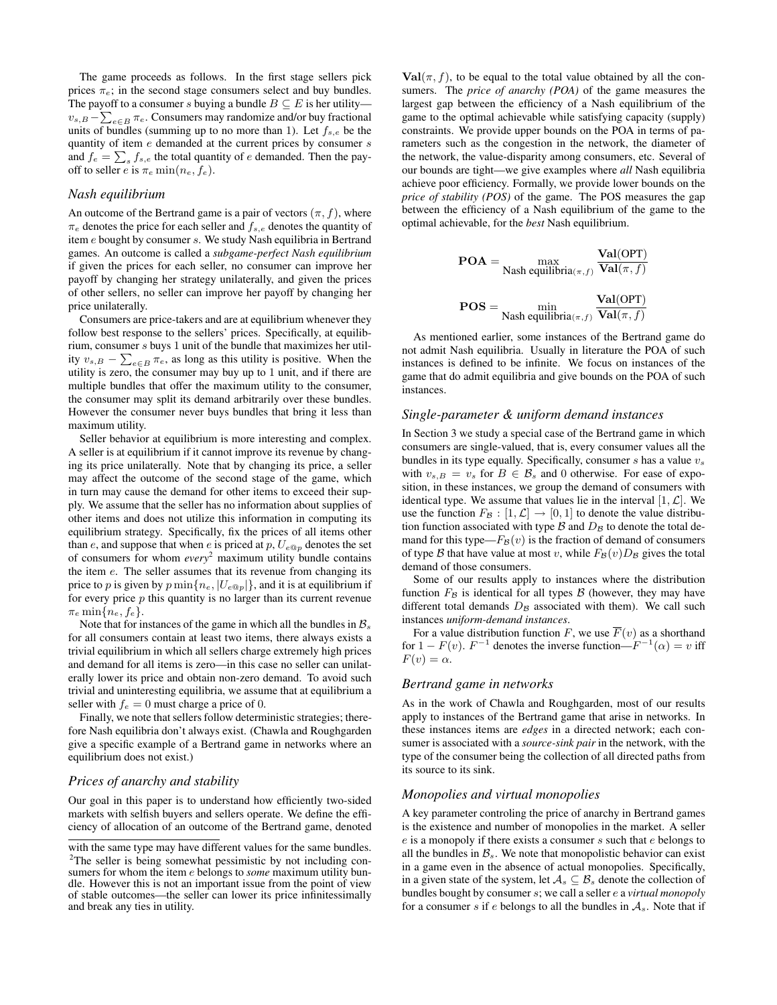The game proceeds as follows. In the first stage sellers pick prices  $\pi_e$ ; in the second stage consumers select and buy bundles. The payoff to a consumer s buying a bundle  $B \subseteq E$  is her utility  $v_{s,B} - \sum_{e \in B} \pi_e$ . Consumers may randomize and/or buy fractional units of bundles (summing up to no more than 1). Let  $f_{s,e}$  be the quantity of item e demanded at the current prices by consumer s and  $f_e = \sum_s f_{s,e}$  the total quantity of e demanded. Then the payoff to seller e is  $\pi_e \min(n_e, f_e)$ .

#### *Nash equilibrium*

An outcome of the Bertrand game is a pair of vectors  $(\pi, f)$ , where  $\pi_e$  denotes the price for each seller and  $f_{s,e}$  denotes the quantity of item e bought by consumer s. We study Nash equilibria in Bertrand games. An outcome is called a *subgame-perfect Nash equilibrium* if given the prices for each seller, no consumer can improve her payoff by changing her strategy unilaterally, and given the prices of other sellers, no seller can improve her payoff by changing her price unilaterally.

Consumers are price-takers and are at equilibrium whenever they follow best response to the sellers' prices. Specifically, at equilibrium, consumer s buys 1 unit of the bundle that maximizes her utility  $v_{s,B} - \sum_{e \in B} \pi_e$ , as long as this utility is positive. When the utility is zero, the consumer may buy up to 1 unit, and if there are multiple bundles that offer the maximum utility to the consumer, the consumer may split its demand arbitrarily over these bundles. However the consumer never buys bundles that bring it less than maximum utility.

Seller behavior at equilibrium is more interesting and complex. A seller is at equilibrium if it cannot improve its revenue by changing its price unilaterally. Note that by changing its price, a seller may affect the outcome of the second stage of the game, which in turn may cause the demand for other items to exceed their supply. We assume that the seller has no information about supplies of other items and does not utilize this information in computing its equilibrium strategy. Specifically, fix the prices of all items other than e, and suppose that when e is priced at  $p, U_{e@p}$  denotes the set of consumers for whom *every*<sup>2</sup> maximum utility bundle contains the item e. The seller assumes that its revenue from changing its price to p is given by  $p \min\{n_e, |U_{e@p}|\}$ , and it is at equilibrium if for every price  $p$  this quantity is no larger than its current revenue  $\pi_e$  min $\{n_e, f_e\}.$ 

Note that for instances of the game in which all the bundles in  $B_s$ for all consumers contain at least two items, there always exists a trivial equilibrium in which all sellers charge extremely high prices and demand for all items is zero—in this case no seller can unilaterally lower its price and obtain non-zero demand. To avoid such trivial and uninteresting equilibria, we assume that at equilibrium a seller with  $f_e = 0$  must charge a price of 0.

Finally, we note that sellers follow deterministic strategies; therefore Nash equilibria don't always exist. (Chawla and Roughgarden give a specific example of a Bertrand game in networks where an equilibrium does not exist.)

# *Prices of anarchy and stability*

Our goal in this paper is to understand how efficiently two-sided markets with selfish buyers and sellers operate. We define the efficiency of allocation of an outcome of the Bertrand game, denoted

 $Val(\pi, f)$ , to be equal to the total value obtained by all the consumers. The *price of anarchy (POA)* of the game measures the largest gap between the efficiency of a Nash equilibrium of the game to the optimal achievable while satisfying capacity (supply) constraints. We provide upper bounds on the POA in terms of parameters such as the congestion in the network, the diameter of the network, the value-disparity among consumers, etc. Several of our bounds are tight—we give examples where *all* Nash equilibria achieve poor efficiency. Formally, we provide lower bounds on the *price of stability (POS)* of the game. The POS measures the gap between the efficiency of a Nash equilibrium of the game to the optimal achievable, for the *best* Nash equilibrium.

$$
POA = \max_{\text{Nash equilibria}(\pi, f)} \frac{\text{Val(OPT)}}{\text{Val}(\pi, f)}
$$

$$
POS = \min_{\text{Nash equilibria}(\pi, f)} \frac{\text{Val(OPT)}}{\text{Val}(\pi, f)}
$$

As mentioned earlier, some instances of the Bertrand game do not admit Nash equilibria. Usually in literature the POA of such instances is defined to be infinite. We focus on instances of the game that do admit equilibria and give bounds on the POA of such instances.

#### *Single-parameter & uniform demand instances*

In Section 3 we study a special case of the Bertrand game in which consumers are single-valued, that is, every consumer values all the bundles in its type equally. Specifically, consumer  $s$  has a value  $v_s$ with  $v_{s,B} = v_s$  for  $B \in \mathcal{B}_s$  and 0 otherwise. For ease of exposition, in these instances, we group the demand of consumers with identical type. We assume that values lie in the interval  $[1, \mathcal{L}]$ . We use the function  $F_B : [1, \mathcal{L}] \rightarrow [0, 1]$  to denote the value distribution function associated with type  $\beta$  and  $D_{\beta}$  to denote the total demand for this type— $F_B(v)$  is the fraction of demand of consumers of type B that have value at most v, while  $F_B(v)D_B$  gives the total demand of those consumers.

Some of our results apply to instances where the distribution function  $F_B$  is identical for all types  $\beta$  (however, they may have different total demands  $D_B$  associated with them). We call such instances *uniform-demand instances*.

For a value distribution function F, we use  $\overline{F}(v)$  as a shorthand for  $1 - F(v)$ .  $F^{-1}$  denotes the inverse function— $F^{-1}(\alpha) = v$  iff  $F(v) = \alpha$ .

### *Bertrand game in networks*

As in the work of Chawla and Roughgarden, most of our results apply to instances of the Bertrand game that arise in networks. In these instances items are *edges* in a directed network; each consumer is associated with a *source-sink pair* in the network, with the type of the consumer being the collection of all directed paths from its source to its sink.

#### *Monopolies and virtual monopolies*

A key parameter controling the price of anarchy in Bertrand games is the existence and number of monopolies in the market. A seller e is a monopoly if there exists a consumer s such that e belongs to all the bundles in  $\mathcal{B}_s$ . We note that monopolistic behavior can exist in a game even in the absence of actual monopolies. Specifically, in a given state of the system, let  $A_s \subseteq B_s$  denote the collection of bundles bought by consumer s; we call a seller e a *virtual monopoly* for a consumer s if e belongs to all the bundles in  $A_s$ . Note that if

with the same type may have different values for the same bundles. <sup>2</sup>The seller is being somewhat pessimistic by not including consumers for whom the item e belongs to *some* maximum utility bundle. However this is not an important issue from the point of view of stable outcomes—the seller can lower its price infinitessimally and break any ties in utility.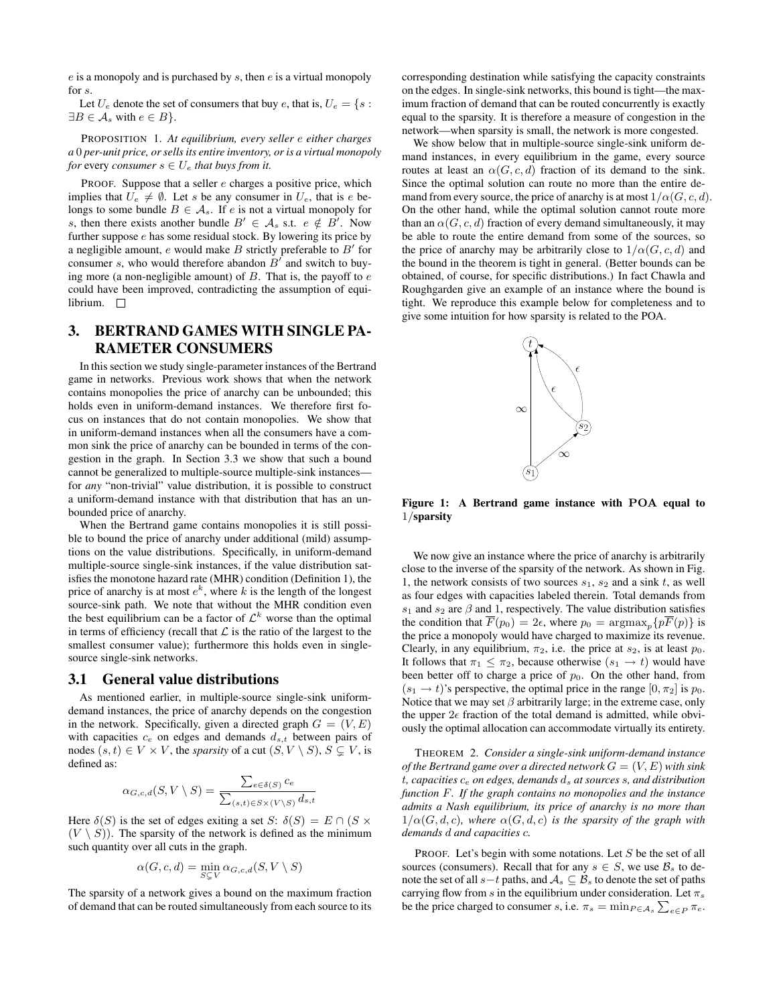$e$  is a monopoly and is purchased by  $s$ , then  $e$  is a virtual monopoly for s.

Let  $U_e$  denote the set of consumers that buy  $e$ , that is,  $U_e = \{s :$  $\exists B \in \mathcal{A}_s$  with  $e \in B$ .

PROPOSITION 1. *At equilibrium, every seller* e *either charges a* 0 *per-unit price, or sells its entire inventory, or is a virtual monopoly for* every *consumer*  $s \in U_e$  *that buys from it.* 

PROOF. Suppose that a seller *e* charges a positive price, which implies that  $U_e \neq \emptyset$ . Let s be any consumer in  $U_e$ , that is e belongs to some bundle  $B \in \mathcal{A}_s$ . If e is not a virtual monopoly for s, then there exists another bundle  $B' \in \mathcal{A}_s$  s.t.  $e \notin B'$ . Now further suppose e has some residual stock. By lowering its price by a negligible amount,  $e$  would make  $B$  strictly preferable to  $B'$  for consumer s, who would therefore abandon  $B'$  and switch to buying more (a non-negligible amount) of  $B$ . That is, the payoff to  $e$ could have been improved, contradicting the assumption of equilibrium.  $\Box$ 

# 3. BERTRAND GAMES WITH SINGLE PA-RAMETER CONSUMERS

In this section we study single-parameter instances of the Bertrand game in networks. Previous work shows that when the network contains monopolies the price of anarchy can be unbounded; this holds even in uniform-demand instances. We therefore first focus on instances that do not contain monopolies. We show that in uniform-demand instances when all the consumers have a common sink the price of anarchy can be bounded in terms of the congestion in the graph. In Section 3.3 we show that such a bound cannot be generalized to multiple-source multiple-sink instances for *any* "non-trivial" value distribution, it is possible to construct a uniform-demand instance with that distribution that has an unbounded price of anarchy.

When the Bertrand game contains monopolies it is still possible to bound the price of anarchy under additional (mild) assumptions on the value distributions. Specifically, in uniform-demand multiple-source single-sink instances, if the value distribution satisfies the monotone hazard rate (MHR) condition (Definition 1), the price of anarchy is at most  $e^k$ , where k is the length of the longest source-sink path. We note that without the MHR condition even the best equilibrium can be a factor of  $\mathcal{L}^k$  worse than the optimal in terms of efficiency (recall that  $\mathcal L$  is the ratio of the largest to the smallest consumer value); furthermore this holds even in singlesource single-sink networks.

#### 3.1 General value distributions

As mentioned earlier, in multiple-source single-sink uniformdemand instances, the price of anarchy depends on the congestion in the network. Specifically, given a directed graph  $G = (V, E)$ with capacities  $c_e$  on edges and demands  $d_{s,t}$  between pairs of nodes  $(s, t) \in V \times V$ , the *sparsity* of a cut  $(S, V \setminus S)$ ,  $S \subsetneq V$ , is defined as:

$$
\alpha_{G,c,d}(S, V \setminus S) = \frac{\sum_{e \in \delta(S)} c_e}{\sum_{(s,t) \in S \times (V \setminus S)} d_{s,t}}
$$

Here  $\delta(S)$  is the set of edges exiting a set S:  $\delta(S) = E \cap (S \times$  $(V \setminus S)$ . The sparsity of the network is defined as the minimum such quantity over all cuts in the graph.

$$
\alpha(G, c, d) = \min_{S \subsetneq V} \alpha_{G, c, d}(S, V \setminus S)
$$

The sparsity of a network gives a bound on the maximum fraction of demand that can be routed simultaneously from each source to its corresponding destination while satisfying the capacity constraints on the edges. In single-sink networks, this bound is tight—the maximum fraction of demand that can be routed concurrently is exactly equal to the sparsity. It is therefore a measure of congestion in the network—when sparsity is small, the network is more congested.

We show below that in multiple-source single-sink uniform demand instances, in every equilibrium in the game, every source routes at least an  $\alpha(G, c, d)$  fraction of its demand to the sink. Since the optimal solution can route no more than the entire demand from every source, the price of anarchy is at most  $1/\alpha(G, c, d)$ . On the other hand, while the optimal solution cannot route more than an  $\alpha(G, c, d)$  fraction of every demand simultaneously, it may be able to route the entire demand from some of the sources, so the price of anarchy may be arbitrarily close to  $1/\alpha(G, c, d)$  and the bound in the theorem is tight in general. (Better bounds can be obtained, of course, for specific distributions.) In fact Chawla and Roughgarden give an example of an instance where the bound is tight. We reproduce this example below for completeness and to give some intuition for how sparsity is related to the POA.



Figure 1: A Bertrand game instance with POA equal to 1/sparsity

We now give an instance where the price of anarchy is arbitrarily close to the inverse of the sparsity of the network. As shown in Fig. 1, the network consists of two sources  $s_1$ ,  $s_2$  and a sink t, as well as four edges with capacities labeled therein. Total demands from  $s_1$  and  $s_2$  are  $\beta$  and 1, respectively. The value distribution satisfies the condition that  $F(p_0) = 2\epsilon$ , where  $p_0 = \argmax_{p} {pF(p)}$  is the price a monopoly would have charged to maximize its revenue. Clearly, in any equilibrium,  $\pi_2$ , i.e. the price at  $s_2$ , is at least  $p_0$ . It follows that  $\pi_1 \leq \pi_2$ , because otherwise  $(s_1 \rightarrow t)$  would have been better off to charge a price of  $p_0$ . On the other hand, from  $(s_1 \rightarrow t)$ 's perspective, the optimal price in the range  $[0, \pi_2]$  is  $p_0$ . Notice that we may set  $\beta$  arbitrarily large; in the extreme case, only the upper  $2\epsilon$  fraction of the total demand is admitted, while obviously the optimal allocation can accommodate virtually its entirety.

THEOREM 2. *Consider a single-sink uniform-demand instance of the Bertrand game over a directed network*  $G = (V, E)$  *with sink* t*, capacities* c<sup>e</sup> *on edges, demands* d<sup>s</sup> *at sources* s*, and distribution function* F*. If the graph contains no monopolies and the instance admits a Nash equilibrium, its price of anarchy is no more than*  $1/\alpha(G, d, c)$ *, where*  $\alpha(G, d, c)$  *is the sparsity of the graph with demands* d *and capacities* c*.*

PROOF. Let's begin with some notations. Let S be the set of all sources (consumers). Recall that for any  $s \in S$ , we use  $\mathcal{B}_s$  to denote the set of all  $s-t$  paths, and  $A_s \subseteq B_s$  to denote the set of paths carrying flow from s in the equilibrium under consideration. Let  $\pi_s$ be the price charged to consumer s, i.e.  $\pi_s = \min_{P \in A_s} \sum_{e \in P} \pi_e$ .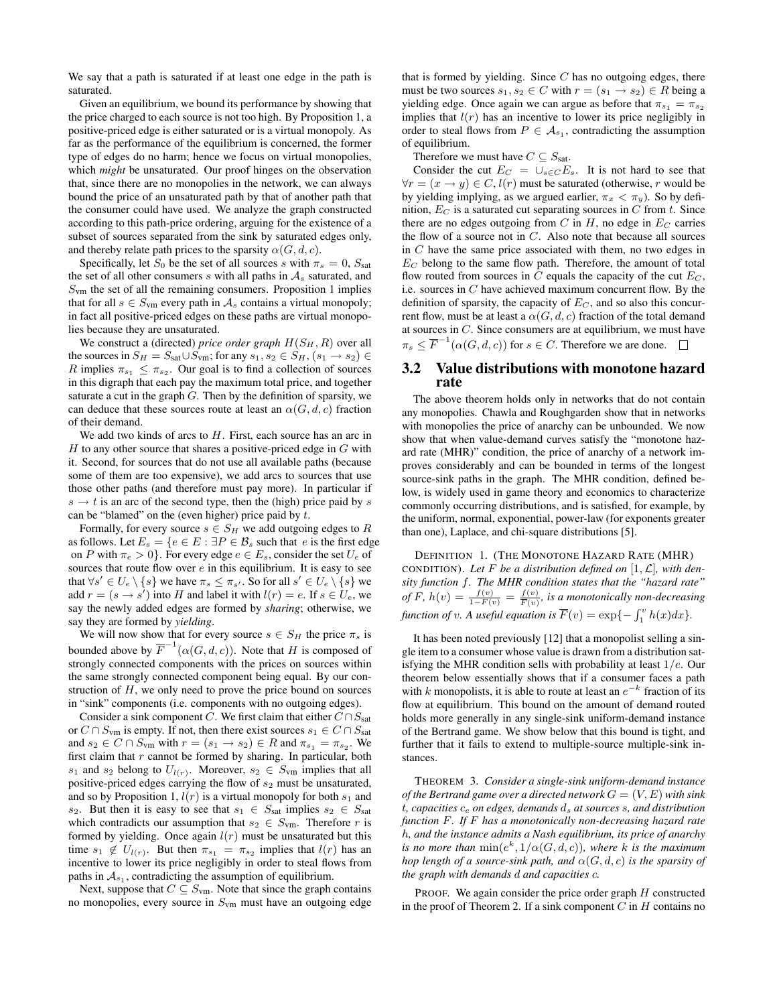We say that a path is saturated if at least one edge in the path is saturated.

Given an equilibrium, we bound its performance by showing that the price charged to each source is not too high. By Proposition 1, a positive-priced edge is either saturated or is a virtual monopoly. As far as the performance of the equilibrium is concerned, the former type of edges do no harm; hence we focus on virtual monopolies, which *might* be unsaturated. Our proof hinges on the observation that, since there are no monopolies in the network, we can always bound the price of an unsaturated path by that of another path that the consumer could have used. We analyze the graph constructed according to this path-price ordering, arguing for the existence of a subset of sources separated from the sink by saturated edges only, and thereby relate path prices to the sparsity  $\alpha(G, d, c)$ .

Specifically, let  $S_0$  be the set of all sources s with  $\pi_s = 0$ ,  $S_{\text{sat}}$ the set of all other consumers s with all paths in  $A_s$  saturated, and Svm the set of all the remaining consumers. Proposition 1 implies that for all  $s \in S_{\text{vm}}$  every path in  $\mathcal{A}_s$  contains a virtual monopoly; in fact all positive-priced edges on these paths are virtual monopolies because they are unsaturated.

We construct a (directed) *price order graph*  $H(S_H, R)$  over all the sources in  $S_H = S_{\text{sat}} \cup S_{\text{vm}}$ ; for any  $s_1, s_2 \in S_H$ ,  $(s_1 \rightarrow s_2) \in$ R implies  $\pi_{s_1} \leq \pi_{s_2}$ . Our goal is to find a collection of sources in this digraph that each pay the maximum total price, and together saturate a cut in the graph  $G$ . Then by the definition of sparsity, we can deduce that these sources route at least an  $\alpha(G, d, c)$  fraction of their demand.

We add two kinds of arcs to  $H$ . First, each source has an arc in  $H$  to any other source that shares a positive-priced edge in  $G$  with it. Second, for sources that do not use all available paths (because some of them are too expensive), we add arcs to sources that use those other paths (and therefore must pay more). In particular if  $s \rightarrow t$  is an arc of the second type, then the (high) price paid by s can be "blamed" on the (even higher) price paid by  $t$ .

Formally, for every source  $s \in S_H$  we add outgoing edges to R as follows. Let  $E_s = \{e \in E : \exists P \in \mathcal{B}_s \text{ such that } e \text{ is the first edge}\}\$ on P with  $\pi_e > 0$ . For every edge  $e \in E_s$ , consider the set  $U_e$  of sources that route flow over  $e$  in this equilibrium. It is easy to see that  $\forall s' \in U_e \setminus \{s\}$  we have  $\pi_s \leq \pi_{s'}$ . So for all  $s' \in U_e \setminus \{s\}$  we add  $r = (s \rightarrow s')$  into H and label it with  $l(r) = e$ . If  $s \in U_e$ , we say the newly added edges are formed by *sharing*; otherwise, we say they are formed by *yielding*.

We will now show that for every source  $s \in S_H$  the price  $\pi_s$  is bounded above by  $\overline{F}^{-1}(\alpha(G, d, c))$ . Note that H is composed of strongly connected components with the prices on sources within the same strongly connected component being equal. By our construction of  $H$ , we only need to prove the price bound on sources in "sink" components (i.e. components with no outgoing edges).

Consider a sink component C. We first claim that either  $C \cap S_{\text{sat}}$ or  $C \cap S_{\text{vm}}$  is empty. If not, then there exist sources  $s_1 \in C \cap S_{\text{sat}}$ and  $s_2 \in C \cap S_{\text{vm}}$  with  $r = (s_1 \rightarrow s_2) \in R$  and  $\pi_{s_1} = \pi_{s_2}$ . We first claim that  $r$  cannot be formed by sharing. In particular, both  $s_1$  and  $s_2$  belong to  $U_{l(r)}$ . Moreover,  $s_2 \in S_{vm}$  implies that all positive-priced edges carrying the flow of  $s_2$  must be unsaturated, and so by Proposition 1,  $l(r)$  is a virtual monopoly for both  $s_1$  and s<sub>2</sub>. But then it is easy to see that  $s_1 \in S_{\text{sat}}$  implies  $s_2 \in S_{\text{sat}}$ which contradicts our assumption that  $s_2 \in S_{\text{vm}}$ . Therefore r is formed by yielding. Once again  $l(r)$  must be unsaturated but this time  $s_1 \notin U_{l(r)}$ . But then  $\pi_{s_1} = \pi_{s_2}$  implies that  $l(r)$  has an incentive to lower its price negligibly in order to steal flows from paths in  $A_{s_1}$ , contradicting the assumption of equilibrium.

Next, suppose that  $C \subseteq S_{\text{vm}}$ . Note that since the graph contains no monopolies, every source in  $S_{\text{vm}}$  must have an outgoing edge that is formed by yielding. Since  $C$  has no outgoing edges, there must be two sources  $s_1, s_2 \in C$  with  $r = (s_1 \rightarrow s_2) \in R$  being a yielding edge. Once again we can argue as before that  $\pi_{s_1} = \pi_{s_2}$ implies that  $l(r)$  has an incentive to lower its price negligibly in order to steal flows from  $P \in A_{s_1}$ , contradicting the assumption of equilibrium.

Therefore we must have  $C \subseteq S_{\text{sat}}$ .

Consider the cut  $E_C = \bigcup_{s \in C} E_s$ . It is not hard to see that  $\forall r = (x \rightarrow y) \in C$ ,  $l(r)$  must be saturated (otherwise, r would be by yielding implying, as we argued earlier,  $\pi_x < \pi_y$ ). So by definition,  $E_C$  is a saturated cut separating sources in  $C$  from  $t$ . Since there are no edges outgoing from  $C$  in  $H$ , no edge in  $E_C$  carries the flow of a source not in  $C$ . Also note that because all sources in C have the same price associated with them, no two edges in  $E_C$  belong to the same flow path. Therefore, the amount of total flow routed from sources in C equals the capacity of the cut  $E_C$ , i.e. sources in  $C$  have achieved maximum concurrent flow. By the definition of sparsity, the capacity of  $E<sub>C</sub>$ , and so also this concurrent flow, must be at least a  $\alpha(G, d, c)$  fraction of the total demand at sources in C. Since consumers are at equilibrium, we must have  $\pi_s \leq \overline{F}^{-1}(\alpha(G, d, c))$  for  $s \in C$ . Therefore we are done.

#### 3.2 Value distributions with monotone hazard rate

The above theorem holds only in networks that do not contain any monopolies. Chawla and Roughgarden show that in networks with monopolies the price of anarchy can be unbounded. We now show that when value-demand curves satisfy the "monotone hazard rate (MHR)" condition, the price of anarchy of a network improves considerably and can be bounded in terms of the longest source-sink paths in the graph. The MHR condition, defined below, is widely used in game theory and economics to characterize commonly occurring distributions, and is satisfied, for example, by the uniform, normal, exponential, power-law (for exponents greater than one), Laplace, and chi-square distributions [5].

DEFINITION 1. (THE MONOTONE HAZARD RATE (MHR) CONDITION). Let F be a distribution defined on  $[1, \mathcal{L}]$ , with den*sity function* f*. The MHR condition states that the "hazard rate" of* F,  $h(v) = \frac{f(v)}{1-F(v)} = \frac{f(v)}{F(v)}$  $\frac{f(v)}{\overline{F}(v)}$ , is a monotonically non-decreasing *function of v.* A useful equation is  $\overline{F}(v) = \exp\{-\int_1^v h(x)dx\}.$ 

It has been noted previously [12] that a monopolist selling a single item to a consumer whose value is drawn from a distribution satisfying the MHR condition sells with probability at least  $1/e$ . Our theorem below essentially shows that if a consumer faces a path with k monopolists, it is able to route at least an  $e^{-k}$  fraction of its flow at equilibrium. This bound on the amount of demand routed holds more generally in any single-sink uniform-demand instance of the Bertrand game. We show below that this bound is tight, and further that it fails to extend to multiple-source multiple-sink instances.

THEOREM 3. *Consider a single-sink uniform-demand instance of the Bertrand game over a directed network*  $G = (V, E)$  *with sink* t*, capacities* c<sup>e</sup> *on edges, demands* d<sup>s</sup> *at sources* s*, and distribution function* F*. If* F *has a monotonically non-decreasing hazard rate* h*, and the instance admits a Nash equilibrium, its price of anarchy is no more than*  $\min(e^k, 1/\alpha(G, d, c))$ , where k is the maximum *hop length of a source-sink path, and*  $\alpha(G, d, c)$  *is the sparsity of the graph with demands* d *and capacities* c*.*

PROOF. We again consider the price order graph  $H$  constructed in the proof of Theorem 2. If a sink component  $C$  in  $H$  contains no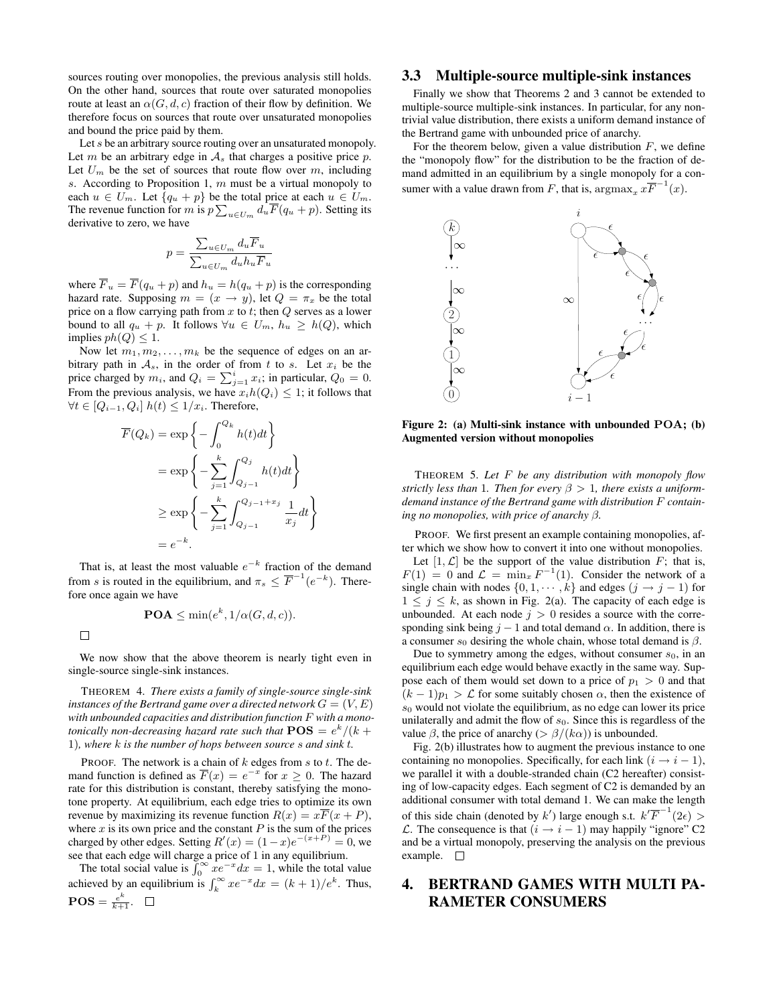sources routing over monopolies, the previous analysis still holds. On the other hand, sources that route over saturated monopolies route at least an  $\alpha(G, d, c)$  fraction of their flow by definition. We therefore focus on sources that route over unsaturated monopolies and bound the price paid by them.

Let s be an arbitrary source routing over an unsaturated monopoly. Let m be an arbitrary edge in  $A<sub>s</sub>$  that charges a positive price p. Let  $U_m$  be the set of sources that route flow over m, including s. According to Proposition 1,  $m$  must be a virtual monopoly to each  $u \in U_m$ . Let  $\{q_u + p\}$  be the total price at each  $u \in U_m$ . The revenue function for m is  $p\sum_{u\in U_m} d_u \overline{F}(q_u+p)$ . Setting its derivative to zero, we have

$$
p = \frac{\sum_{u \in U_m} d_u \overline{F}_u}{\sum_{u \in U_m} d_u h_u \overline{F}_u}
$$

where  $\overline{F}_u = \overline{F}(q_u + p)$  and  $h_u = h(q_u + p)$  is the corresponding hazard rate. Supposing  $m = (x \rightarrow y)$ , let  $Q = \pi_x$  be the total price on a flow carrying path from  $x$  to  $t$ ; then  $Q$  serves as a lower bound to all  $q_u + p$ . It follows  $\forall u \in U_m$ ,  $h_u \geq h(Q)$ , which implies  $ph(Q) < 1$ .

Now let  $m_1, m_2, \ldots, m_k$  be the sequence of edges on an arbitrary path in  $A_s$ , in the order of from t to s. Let  $x_i$  be the price charged by  $m_i$ , and  $Q_i = \sum_{j=1}^i x_i$ ; in particular,  $Q_0 = 0$ . From the previous analysis, we have  $x_i h(Q_i) \leq 1$ ; it follows that  $\forall t \in [Q_{i-1}, Q_i]$   $h(t) \leq 1/x_i$ . Therefore,

$$
\overline{F}(Q_k) = \exp\left\{-\int_0^{Q_k} h(t)dt\right\}
$$

$$
= \exp\left\{-\sum_{j=1}^k \int_{Q_{j-1}}^{Q_j} h(t)dt\right\}
$$

$$
\geq \exp\left\{-\sum_{j=1}^k \int_{Q_{j-1}}^{Q_{j-1}+x_j} \frac{1}{x_j}dt\right\}
$$

$$
= e^{-k}.
$$

That is, at least the most valuable  $e^{-k}$  fraction of the demand from s is routed in the equilibrium, and  $\pi_s \leq \overline{F}^{-1}(e^{-k})$ . Therefore once again we have

**POA** 
$$
\leq
$$
 min( $e^k$ , 1/ $\alpha(G, d, c)$ ).

 $\Box$ 

We now show that the above theorem is nearly tight even in single-source single-sink instances.

THEOREM 4. *There exists a family of single-source single-sink instances of the Bertrand game over a directed network*  $G = (V, E)$ *with unbounded capacities and distribution function* F *with a mono*tonically non-decreasing hazard rate such that  $\textbf{POS}=e^k/(k+1)$ 1)*, where* k *is the number of hops between source* s *and sink* t*.*

PROOF. The network is a chain of  $k$  edges from  $s$  to  $t$ . The demand function is defined as  $\overline{F}(x) = e^{-x}$  for  $x \ge 0$ . The hazard rate for this distribution is constant, thereby satisfying the monotone property. At equilibrium, each edge tries to optimize its own revenue by maximizing its revenue function  $R(x) = x\overline{F}(x+P)$ , where  $x$  is its own price and the constant  $P$  is the sum of the prices charged by other edges. Setting  $R'(x) = (1-x)e^{-(x+P)} = 0$ , we

see that each edge will charge a price of 1 in any equilibrium.<br>The total social value is  $\int_0^\infty xe^{-x} dx = 1$ , while the total value achieved by an equilibrium is  $\int_k^{\infty} x e^{-x} dx = (k+1)/e^k$ . Thus,  $\textbf{POS} = \frac{e^k}{k+1}.$ 

#### 3.3 Multiple-source multiple-sink instances

Finally we show that Theorems 2 and 3 cannot be extended to multiple-source multiple-sink instances. In particular, for any nontrivial value distribution, there exists a uniform demand instance of the Bertrand game with unbounded price of anarchy.

For the theorem below, given a value distribution  $F$ , we define the "monopoly flow" for the distribution to be the fraction of demand admitted in an equilibrium by a single monopoly for a consumer with a value drawn from F, that is,  $\operatorname{argmax}_x x \overline{F}^{-1}(x)$ .



Figure 2: (a) Multi-sink instance with unbounded POA; (b) Augmented version without monopolies

THEOREM 5. *Let* F *be any distribution with monopoly flow strictly less than* 1*. Then for every*  $\beta > 1$ *, there exists a uniformdemand instance of the Bertrand game with distribution* F *containing no monopolies, with price of anarchy* β*.*

PROOF. We first present an example containing monopolies, after which we show how to convert it into one without monopolies.

Let  $[1, \mathcal{L}]$  be the support of the value distribution  $F$ ; that is,  $F(1) = 0$  and  $\mathcal{L} = \min_x F^{-1}(1)$ . Consider the network of a single chain with nodes  $\{0, 1, \dots, k\}$  and edges  $(j \rightarrow j - 1)$  for  $1 \leq j \leq k$ , as shown in Fig. 2(a). The capacity of each edge is unbounded. At each node  $j > 0$  resides a source with the corresponding sink being  $j - 1$  and total demand  $\alpha$ . In addition, there is a consumer  $s_0$  desiring the whole chain, whose total demand is  $\beta$ .

Due to symmetry among the edges, without consumer  $s_0$ , in an equilibrium each edge would behave exactly in the same way. Suppose each of them would set down to a price of  $p_1 > 0$  and that  $(k-1)p_1 > \mathcal{L}$  for some suitably chosen  $\alpha$ , then the existence of  $s<sub>0</sub>$  would not violate the equilibrium, as no edge can lower its price unilaterally and admit the flow of  $s_0$ . Since this is regardless of the value  $\beta$ , the price of anarchy ( $>\beta/(k\alpha)$ ) is unbounded.

Fig. 2(b) illustrates how to augment the previous instance to one containing no monopolies. Specifically, for each link  $(i \rightarrow i - 1)$ , we parallel it with a double-stranded chain (C2 hereafter) consisting of low-capacity edges. Each segment of C2 is demanded by an additional consumer with total demand 1. We can make the length of this side chain (denoted by k') large enough s.t.  $k' \overline{F}^{-1}(2\epsilon)$  > *L*. The consequence is that  $(i → i - 1)$  may happily "ignore" C2 and be a virtual monopoly, preserving the analysis on the previous example.

# 4. BERTRAND GAMES WITH MULTI PA-RAMETER CONSUMERS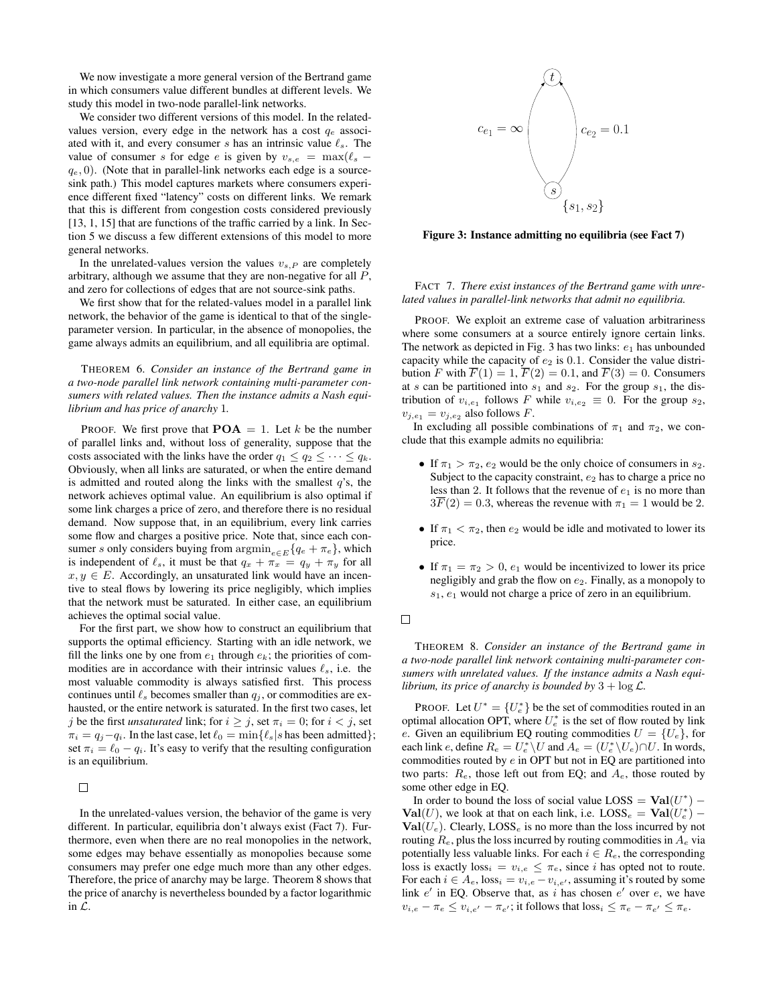We now investigate a more general version of the Bertrand game in which consumers value different bundles at different levels. We study this model in two-node parallel-link networks.

We consider two different versions of this model. In the relatedvalues version, every edge in the network has a cost  $q_e$  associated with it, and every consumer s has an intrinsic value  $\ell_s$ . The value of consumer s for edge e is given by  $v_{s,e} = \max(\ell_s$  $q_e$ , 0). (Note that in parallel-link networks each edge is a sourcesink path.) This model captures markets where consumers experience different fixed "latency" costs on different links. We remark that this is different from congestion costs considered previously [13, 1, 15] that are functions of the traffic carried by a link. In Section 5 we discuss a few different extensions of this model to more general networks.

In the unrelated-values version the values  $v_{s,P}$  are completely arbitrary, although we assume that they are non-negative for all P, and zero for collections of edges that are not source-sink paths.

We first show that for the related-values model in a parallel link network, the behavior of the game is identical to that of the singleparameter version. In particular, in the absence of monopolies, the game always admits an equilibrium, and all equilibria are optimal.

THEOREM 6. *Consider an instance of the Bertrand game in a two-node parallel link network containing multi-parameter consumers with related values. Then the instance admits a Nash equilibrium and has price of anarchy* 1*.*

PROOF. We first prove that  $\textbf{POA} = 1$ . Let k be the number of parallel links and, without loss of generality, suppose that the costs associated with the links have the order  $q_1 \leq q_2 \leq \cdots \leq q_k$ . Obviously, when all links are saturated, or when the entire demand is admitted and routed along the links with the smallest  $q$ 's, the network achieves optimal value. An equilibrium is also optimal if some link charges a price of zero, and therefore there is no residual demand. Now suppose that, in an equilibrium, every link carries some flow and charges a positive price. Note that, since each consumer s only considers buying from  $\operatorname{argmin}_{e \in E} \{q_e + \pi_e\}$ , which is independent of  $\ell_s$ , it must be that  $q_x + \pi_x = q_y + \pi_y$  for all  $x, y \in E$ . Accordingly, an unsaturated link would have an incentive to steal flows by lowering its price negligibly, which implies that the network must be saturated. In either case, an equilibrium achieves the optimal social value.

For the first part, we show how to construct an equilibrium that supports the optimal efficiency. Starting with an idle network, we fill the links one by one from  $e_1$  through  $e_k$ ; the priorities of commodities are in accordance with their intrinsic values  $\ell_s$ , i.e. the most valuable commodity is always satisfied first. This process continues until  $\ell_s$  becomes smaller than  $q_i$ , or commodities are exhausted, or the entire network is saturated. In the first two cases, let j be the first *unsaturated* link; for  $i \geq j$ , set  $\pi_i = 0$ ; for  $i < j$ , set  $\pi_i = q_i - q_i$ . In the last case, let  $\ell_0 = \min{\{\ell_s | s \text{ has been admitted}\}};$ set  $\pi_i = \ell_0 - q_i$ . It's easy to verify that the resulting configuration is an equilibrium.

# $\Box$

In the unrelated-values version, the behavior of the game is very different. In particular, equilibria don't always exist (Fact 7). Furthermore, even when there are no real monopolies in the network, some edges may behave essentially as monopolies because some consumers may prefer one edge much more than any other edges. Therefore, the price of anarchy may be large. Theorem 8 shows that the price of anarchy is nevertheless bounded by a factor logarithmic in L.



Figure 3: Instance admitting no equilibria (see Fact 7)

FACT 7. *There exist instances of the Bertrand game with unrelated values in parallel-link networks that admit no equilibria.*

PROOF. We exploit an extreme case of valuation arbitrariness where some consumers at a source entirely ignore certain links. The network as depicted in Fig. 3 has two links:  $e_1$  has unbounded capacity while the capacity of  $e_2$  is 0.1. Consider the value distribution F with  $\overline{F}(1) = 1$ ,  $\overline{F}(2) = 0.1$ , and  $\overline{F}(3) = 0$ . Consumers at s can be partitioned into  $s_1$  and  $s_2$ . For the group  $s_1$ , the distribution of  $v_{i,e_1}$  follows F while  $v_{i,e_2} \equiv 0$ . For the group  $s_2$ ,  $v_{j,e_1} = v_{j,e_2}$  also follows F.

In excluding all possible combinations of  $\pi_1$  and  $\pi_2$ , we conclude that this example admits no equilibria:

- If  $\pi_1 > \pi_2$ ,  $e_2$  would be the only choice of consumers in  $s_2$ . Subject to the capacity constraint,  $e_2$  has to charge a price no less than 2. It follows that the revenue of  $e_1$  is no more than  $3\overline{F}(2) = 0.3$ , whereas the revenue with  $\pi_1 = 1$  would be 2.
- If  $\pi_1 < \pi_2$ , then  $e_2$  would be idle and motivated to lower its price.
- If  $\pi_1 = \pi_2 > 0$ ,  $e_1$  would be incentivized to lower its price negligibly and grab the flow on  $e_2$ . Finally, as a monopoly to  $s_1, e_1$  would not charge a price of zero in an equilibrium.
- $\Box$

THEOREM 8. *Consider an instance of the Bertrand game in a two-node parallel link network containing multi-parameter consumers with unrelated values. If the instance admits a Nash equilibrium, its price of anarchy is bounded by*  $3 + \log \mathcal{L}$ .

PROOF. Let  $U^* = \{U_e^*\}$  be the set of commodities routed in an optimal allocation OPT, where  $U_e^*$  is the set of flow routed by link e. Given an equilibrium EQ routing commodities  $U = \{U_e\}$ , for each link e, define  $R_e = U_e^* \backslash U$  and  $A_e = (U_e^* \backslash U_e) \cap U$ . In words, commodities routed by e in OPT but not in EQ are partitioned into two parts:  $R_e$ , those left out from EQ; and  $A_e$ , those routed by some other edge in EQ.

In order to bound the loss of social value LOSS =  $Val(U^*)$  – **Val**(*U*), we look at that on each link, i.e.  $\text{LOSS}_e = \text{Val}(U_e^*)$  –  $Val(U_e)$ . Clearly, LOSS<sub>e</sub> is no more than the loss incurred by not routing  $R_e$ , plus the loss incurred by routing commodities in  $A_e$  via potentially less valuable links. For each  $i \in R_e$ , the corresponding loss is exactly  $loss_i = v_{i,e} \leq \pi_e$ , since i has opted not to route. For each  $i \in A_e$ ,  $loss_i = v_{i,e} - v_{i,e'}$ , assuming it's routed by some link  $e'$  in EQ. Observe that, as i has chosen  $e'$  over  $e$ , we have  $v_{i,e} - \pi_e \le v_{i,e'} - \pi_{e'}$ ; it follows that  $loss_i \le \pi_e - \pi_{e'} \le \pi_e$ .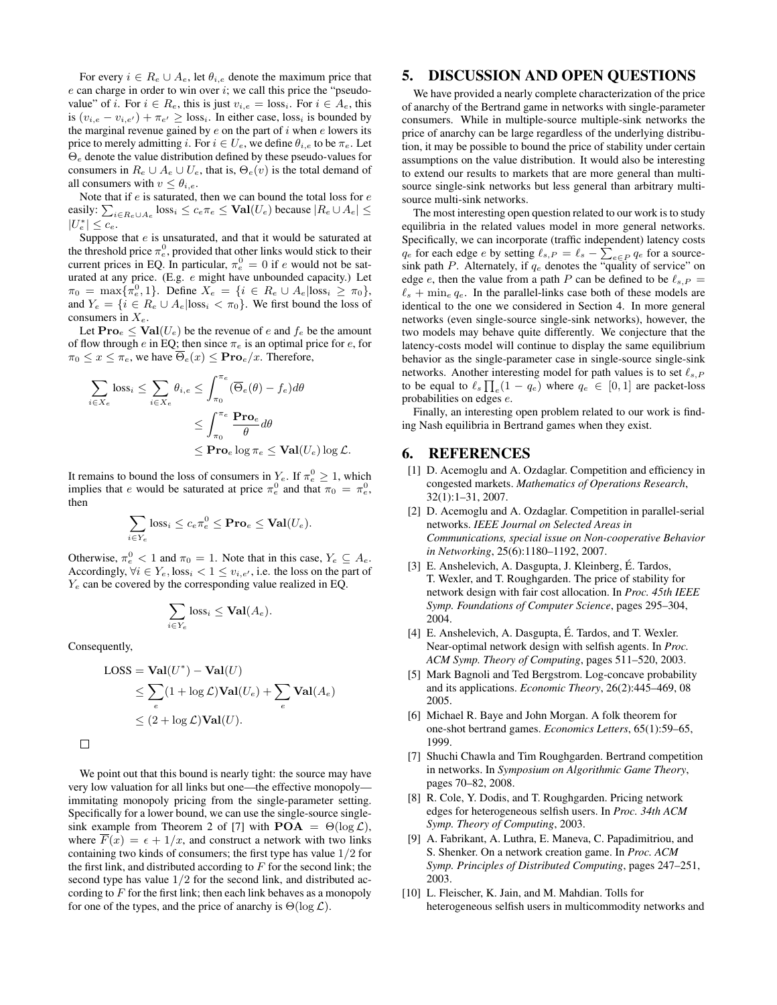For every  $i \in R_e \cup A_e$ , let  $\theta_{i,e}$  denote the maximum price that  $e$  can charge in order to win over  $i$ ; we call this price the "pseudovalue" of i. For  $i \in R_e$ , this is just  $v_{i,e} = \text{loss}_i$ . For  $i \in A_e$ , this is  $(v_{i,e} - v_{i,e'}) + \pi_{e'} \ge \text{loss}_i$ . In either case, loss<sub>i</sub> is bounded by the marginal revenue gained by  $e$  on the part of  $i$  when  $e$  lowers its price to merely admitting i. For  $i \in U_e$ , we define  $\theta_{i,e}$  to be  $\pi_e$ . Let  $\Theta_e$  denote the value distribution defined by these pseudo-values for consumers in  $R_e \cup A_e \cup U_e$ , that is,  $\Theta_e(v)$  is the total demand of all consumers with  $v \leq \theta_{i,e}$ .

Note that if  $e$  is saturated, then we can bound the total loss for  $e$ easily:  $\sum_{i \in R_e \cup A_e} \text{loss}_i \le c_e \pi_e \le \text{Val}(U_e)$  because  $|R_e \cup A_e| \le$  $|U_e^*| \leq c_e.$ 

Suppose that  $e$  is unsaturated, and that it would be saturated at the threshold price  $\pi_e^0$ , provided that other links would stick to their current prices in EQ. In particular,  $\pi_e^0 = 0$  if e would not be saturated at any price. (E.g. e might have unbounded capacity.) Let  $\pi_0 = \max{\pi_e^0, 1}$ . Define  $X_e = \{i \in R_e \cup A_e | loss_i \geq \pi_0\},$ and  $Y_e = \{i \in R_e \cup A_e | loss_i < \pi_0\}$ . We first bound the loss of consumers in  $X_e$ .

Let  $\text{Pro}_e \le \text{Val}(U_e)$  be the revenue of e and  $f_e$  be the amount of flow through e in EQ; then since  $\pi_e$  is an optimal price for e, for  $\pi_0 \leq x \leq \pi_e$ , we have  $\overline{\Theta}_e(x) \leq \textbf{Pro}_e/x$ . Therefore,

$$
\sum_{i \in X_e} \text{loss}_i \le \sum_{i \in X_e} \theta_{i,e} \le \int_{\pi_0}^{\pi_e} (\overline{\Theta}_e(\theta) - f_e) d\theta
$$
  

$$
\le \int_{\pi_0}^{\pi_e} \frac{\text{Pro}_e}{\theta} d\theta
$$
  

$$
\le \text{Pro}_e \log \pi_e \le \text{Val}(U_e) \log \mathcal{L}.
$$

It remains to bound the loss of consumers in  $Y_e$ . If  $\pi_e^0 \geq 1$ , which implies that e would be saturated at price  $\pi_e^0$  and that  $\pi_0 = \pi_e^0$ , then

$$
\sum_{i \in Y_e} \text{loss}_i \le c_e \pi_e^0 \le \textbf{Pro}_e \le \textbf{Val}(U_e).
$$

Otherwise,  $\pi_e^0$  < 1 and  $\pi_0 = 1$ . Note that in this case,  $Y_e \subseteq A_e$ . Accordingly,  $\forall i \in Y_e$ ,  $loss_i < 1 \leq v_{i,e'}$ , i.e. the loss on the part of  $Y_e$  can be covered by the corresponding value realized in EQ.

$$
\sum_{i \in Y_e} \text{loss}_i \leq \text{Val}(A_e).
$$

Consequently,

 $\Box$ 

$$
\begin{aligned} \text{LOSS} &= \text{Val}(U^*) - \text{Val}(U) \\ &\le \sum_{e} (1 + \log \mathcal{L}) \text{Val}(U_e) + \sum_{e} \text{Val}(A_e) \\ &\le (2 + \log \mathcal{L}) \text{Val}(U). \end{aligned}
$$

We point out that this bound is nearly tight: the source may have very low valuation for all links but one—the effective monopoly immitating monopoly pricing from the single-parameter setting. Specifically for a lower bound, we can use the single-source singlesink example from Theorem 2 of [7] with  $\text{POA} = \Theta(\log \mathcal{L}),$ where  $F(x) = \epsilon + 1/x$ , and construct a network with two links containing two kinds of consumers; the first type has value 1/2 for the first link, and distributed according to  $F$  for the second link; the second type has value  $1/2$  for the second link, and distributed according to  $F$  for the first link; then each link behaves as a monopoly for one of the types, and the price of anarchy is  $\Theta(\log \mathcal{L})$ .

# 5. DISCUSSION AND OPEN QUESTIONS

We have provided a nearly complete characterization of the price of anarchy of the Bertrand game in networks with single-parameter consumers. While in multiple-source multiple-sink networks the price of anarchy can be large regardless of the underlying distribution, it may be possible to bound the price of stability under certain assumptions on the value distribution. It would also be interesting to extend our results to markets that are more general than multisource single-sink networks but less general than arbitrary multisource multi-sink networks.

The most interesting open question related to our work is to study equilibria in the related values model in more general networks. Specifically, we can incorporate (traffic independent) latency costs  $q_e$  for each edge e by setting  $\ell_{s,P} = \ell_s - \sum_{e \in P} q_e$  for a sourcesink path P. Alternately, if  $q_e$  denotes the "quality of service" on edge e, then the value from a path P can be defined to be  $\ell_{s,P} =$  $\ell_s$  + min<sub>e</sub>  $q_e$ . In the parallel-links case both of these models are identical to the one we considered in Section 4. In more general networks (even single-source single-sink networks), however, the two models may behave quite differently. We conjecture that the latency-costs model will continue to display the same equilibrium behavior as the single-parameter case in single-source single-sink networks. Another interesting model for path values is to set  $\ell_{s,P}$ to be equal to  $\ell_s \prod_e (1 - q_e)$  where  $q_e \in [0, 1]$  are packet-loss probabilities on edges e.

Finally, an interesting open problem related to our work is finding Nash equilibria in Bertrand games when they exist.

## 6. REFERENCES

- [1] D. Acemoglu and A. Ozdaglar. Competition and efficiency in congested markets. *Mathematics of Operations Research*, 32(1):1–31, 2007.
- [2] D. Acemoglu and A. Ozdaglar. Competition in parallel-serial networks. *IEEE Journal on Selected Areas in Communications, special issue on Non-cooperative Behavior in Networking*, 25(6):1180–1192, 2007.
- [3] E. Anshelevich, A. Dasgupta, J. Kleinberg, É. Tardos, T. Wexler, and T. Roughgarden. The price of stability for network design with fair cost allocation. In *Proc. 45th IEEE Symp. Foundations of Computer Science*, pages 295–304, 2004.
- [4] E. Anshelevich, A. Dasgupta, É. Tardos, and T. Wexler. Near-optimal network design with selfish agents. In *Proc. ACM Symp. Theory of Computing*, pages 511–520, 2003.
- [5] Mark Bagnoli and Ted Bergstrom. Log-concave probability and its applications. *Economic Theory*, 26(2):445–469, 08 2005.
- [6] Michael R. Baye and John Morgan. A folk theorem for one-shot bertrand games. *Economics Letters*, 65(1):59–65, 1999.
- [7] Shuchi Chawla and Tim Roughgarden. Bertrand competition in networks. In *Symposium on Algorithmic Game Theory*, pages 70–82, 2008.
- [8] R. Cole, Y. Dodis, and T. Roughgarden. Pricing network edges for heterogeneous selfish users. In *Proc. 34th ACM Symp. Theory of Computing*, 2003.
- [9] A. Fabrikant, A. Luthra, E. Maneva, C. Papadimitriou, and S. Shenker. On a network creation game. In *Proc. ACM Symp. Principles of Distributed Computing*, pages 247–251, 2003.
- [10] L. Fleischer, K. Jain, and M. Mahdian. Tolls for heterogeneous selfish users in multicommodity networks and